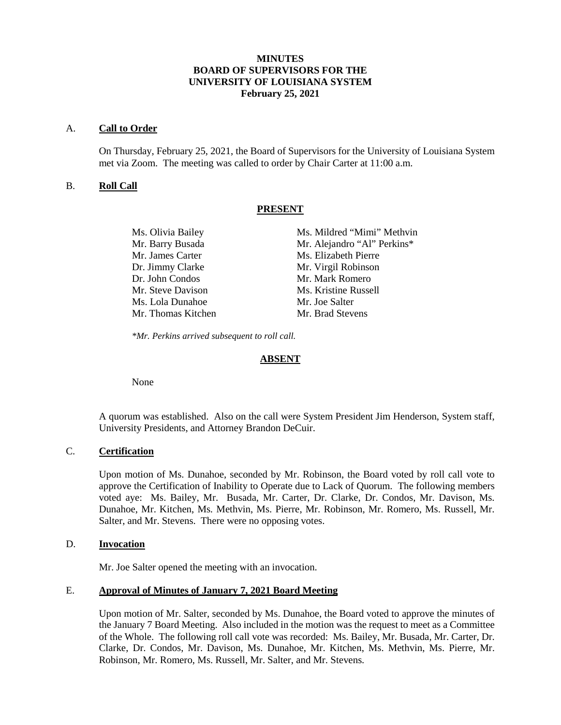# **MINUTES BOARD OF SUPERVISORS FOR THE UNIVERSITY OF LOUISIANA SYSTEM February 25, 2021**

#### A. **Call to Order**

On Thursday, February 25, 2021, the Board of Supervisors for the University of Louisiana System met via Zoom. The meeting was called to order by Chair Carter at 11:00 a.m.

# B. **Roll Call**

#### **PRESENT**

| Ms. Olivia Bailey  | Ms. Mildred "Mimi" Methvin  |
|--------------------|-----------------------------|
| Mr. Barry Busada   | Mr. Alejandro "Al" Perkins* |
| Mr. James Carter   | Ms. Elizabeth Pierre        |
| Dr. Jimmy Clarke   | Mr. Virgil Robinson         |
| Dr. John Condos    | Mr. Mark Romero             |
| Mr. Steve Davison  | Ms. Kristine Russell        |
| Ms. Lola Dunahoe   | Mr. Joe Salter              |
| Mr. Thomas Kitchen | Mr. Brad Stevens            |

*\*Mr. Perkins arrived subsequent to roll call.*

#### **ABSENT**

None

A quorum was established. Also on the call were System President Jim Henderson, System staff, University Presidents, and Attorney Brandon DeCuir.

# C. **Certification**

Upon motion of Ms. Dunahoe, seconded by Mr. Robinson, the Board voted by roll call vote to approve the Certification of Inability to Operate due to Lack of Quorum. The following members voted aye: Ms. Bailey, Mr. Busada, Mr. Carter, Dr. Clarke, Dr. Condos, Mr. Davison, Ms. Dunahoe, Mr. Kitchen, Ms. Methvin, Ms. Pierre, Mr. Robinson, Mr. Romero, Ms. Russell, Mr. Salter, and Mr. Stevens. There were no opposing votes.

#### D. **Invocation**

Mr. Joe Salter opened the meeting with an invocation.

### E. **Approval of Minutes of January 7, 2021 Board Meeting**

Upon motion of Mr. Salter, seconded by Ms. Dunahoe, the Board voted to approve the minutes of the January 7 Board Meeting. Also included in the motion was the request to meet as a Committee of the Whole. The following roll call vote was recorded: Ms. Bailey, Mr. Busada, Mr. Carter, Dr. Clarke, Dr. Condos, Mr. Davison, Ms. Dunahoe, Mr. Kitchen, Ms. Methvin, Ms. Pierre, Mr. Robinson, Mr. Romero, Ms. Russell, Mr. Salter, and Mr. Stevens.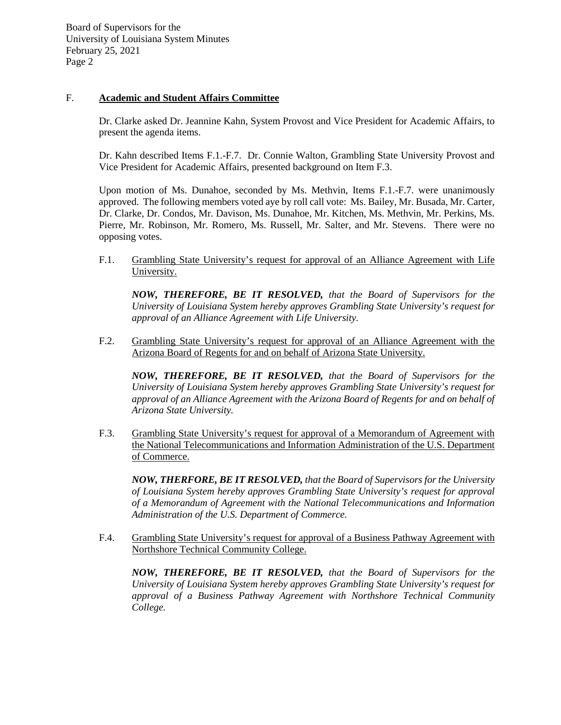### F. **Academic and Student Affairs Committee**

Dr. Clarke asked Dr. Jeannine Kahn, System Provost and Vice President for Academic Affairs, to present the agenda items.

Dr. Kahn described Items F.1.-F.7. Dr. Connie Walton, Grambling State University Provost and Vice President for Academic Affairs, presented background on Item F.3.

Upon motion of Ms. Dunahoe, seconded by Ms. Methvin, Items F.1.-F.7. were unanimously approved. The following members voted aye by roll call vote: Ms. Bailey, Mr. Busada, Mr. Carter, Dr. Clarke, Dr. Condos, Mr. Davison, Ms. Dunahoe, Mr. Kitchen, Ms. Methvin, Mr. Perkins, Ms. Pierre, Mr. Robinson, Mr. Romero, Ms. Russell, Mr. Salter, and Mr. Stevens. There were no opposing votes.

F.1. Grambling State University's request for approval of an Alliance Agreement with Life University.

*NOW, THEREFORE, BE IT RESOLVED, that the Board of Supervisors for the University of Louisiana System hereby approves Grambling State University's request for approval of an Alliance Agreement with Life University.*

F.2. Grambling State University's request for approval of an Alliance Agreement with the Arizona Board of Regents for and on behalf of Arizona State University.

*NOW, THEREFORE, BE IT RESOLVED, that the Board of Supervisors for the University of Louisiana System hereby approves Grambling State University's request for approval of an Alliance Agreement with the Arizona Board of Regents for and on behalf of Arizona State University.*

F.3. Grambling State University's request for approval of a Memorandum of Agreement with the National Telecommunications and Information Administration of the U.S. Department of Commerce.

*NOW, THERFORE, BE IT RESOLVED, that the Board of Supervisors for the University of Louisiana System hereby approves Grambling State University's request for approval of a Memorandum of Agreement with the National Telecommunications and Information Administration of the U.S. Department of Commerce.*

F.4. Grambling State University's request for approval of a Business Pathway Agreement with Northshore Technical Community College.

*NOW, THEREFORE, BE IT RESOLVED, that the Board of Supervisors for the University of Louisiana System hereby approves Grambling State University's request for approval of a Business Pathway Agreement with Northshore Technical Community College.*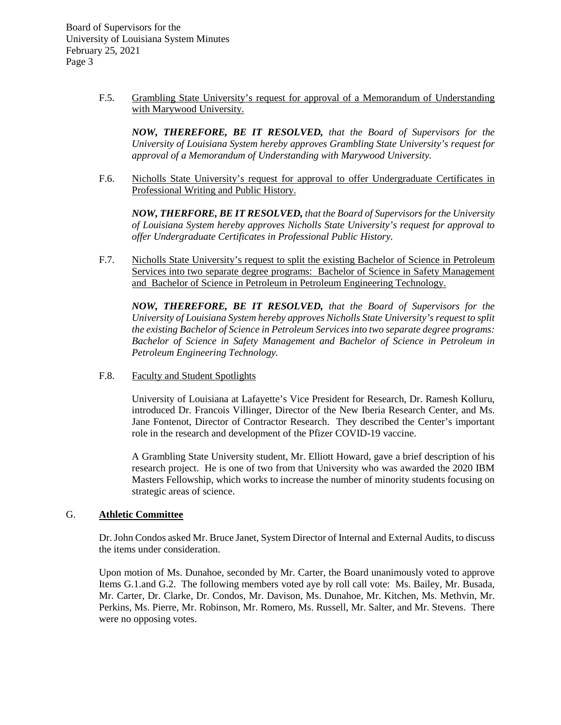> F.5. Grambling State University's request for approval of a Memorandum of Understanding with Marywood University.

*NOW, THEREFORE, BE IT RESOLVED, that the Board of Supervisors for the University of Louisiana System hereby approves Grambling State University's request for approval of a Memorandum of Understanding with Marywood University.*

F.6. Nicholls State University's request for approval to offer Undergraduate Certificates in Professional Writing and Public History.

*NOW, THERFORE, BE IT RESOLVED, that the Board of Supervisors for the University of Louisiana System hereby approves Nicholls State University's request for approval to offer Undergraduate Certificates in Professional Public History.*

F.7. Nicholls State University's request to split the existing Bachelor of Science in Petroleum Services into two separate degree programs: Bachelor of Science in Safety Management and Bachelor of Science in Petroleum in Petroleum Engineering Technology.

*NOW, THEREFORE, BE IT RESOLVED, that the Board of Supervisors for the University of Louisiana System hereby approves Nicholls State University's request to split the existing Bachelor of Science in Petroleum Services into two separate degree programs: Bachelor of Science in Safety Management and Bachelor of Science in Petroleum in Petroleum Engineering Technology.*

F.8. Faculty and Student Spotlights

University of Louisiana at Lafayette's Vice President for Research, Dr. Ramesh Kolluru, introduced Dr. Francois Villinger, Director of the New Iberia Research Center, and Ms. Jane Fontenot, Director of Contractor Research. They described the Center's important role in the research and development of the Pfizer COVID-19 vaccine.

A Grambling State University student, Mr. Elliott Howard, gave a brief description of his research project. He is one of two from that University who was awarded the 2020 IBM Masters Fellowship, which works to increase the number of minority students focusing on strategic areas of science.

# G. **Athletic Committee**

Dr. John Condos asked Mr. Bruce Janet, System Director of Internal and External Audits, to discuss the items under consideration.

Upon motion of Ms. Dunahoe, seconded by Mr. Carter, the Board unanimously voted to approve Items G.1.and G.2. The following members voted aye by roll call vote: Ms. Bailey, Mr. Busada, Mr. Carter, Dr. Clarke, Dr. Condos, Mr. Davison, Ms. Dunahoe, Mr. Kitchen, Ms. Methvin, Mr. Perkins, Ms. Pierre, Mr. Robinson, Mr. Romero, Ms. Russell, Mr. Salter, and Mr. Stevens. There were no opposing votes.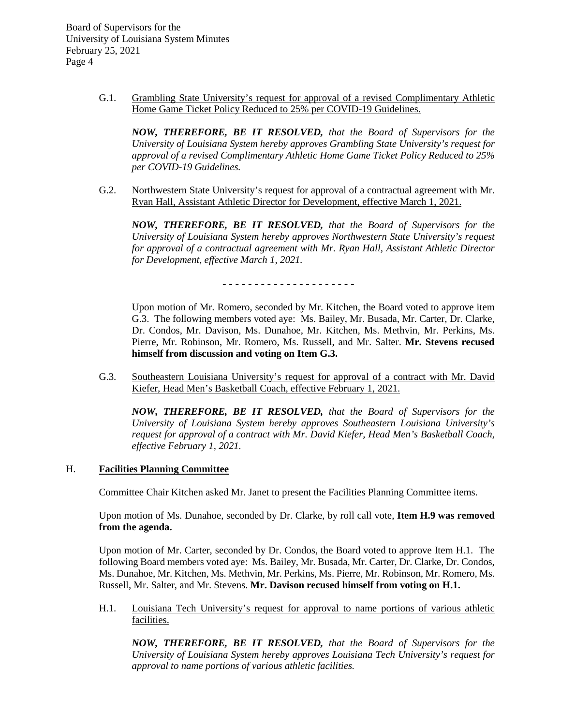> G.1. Grambling State University's request for approval of a revised Complimentary Athletic Home Game Ticket Policy Reduced to 25% per COVID-19 Guidelines.

*NOW, THEREFORE, BE IT RESOLVED, that the Board of Supervisors for the University of Louisiana System hereby approves Grambling State University's request for approval of a revised Complimentary Athletic Home Game Ticket Policy Reduced to 25% per COVID-19 Guidelines.*

G.2. Northwestern State University's request for approval of a contractual agreement with Mr. Ryan Hall, Assistant Athletic Director for Development, effective March 1, 2021.

*NOW, THEREFORE, BE IT RESOLVED, that the Board of Supervisors for the University of Louisiana System hereby approves Northwestern State University's request for approval of a contractual agreement with Mr. Ryan Hall, Assistant Athletic Director for Development, effective March 1, 2021.*

- - - - - - - - - - - - - - - - - - - - -

Upon motion of Mr. Romero, seconded by Mr. Kitchen, the Board voted to approve item G.3. The following members voted aye: Ms. Bailey, Mr. Busada, Mr. Carter, Dr. Clarke, Dr. Condos, Mr. Davison, Ms. Dunahoe, Mr. Kitchen, Ms. Methvin, Mr. Perkins, Ms. Pierre, Mr. Robinson, Mr. Romero, Ms. Russell, and Mr. Salter. **Mr. Stevens recused himself from discussion and voting on Item G.3.**

G.3. Southeastern Louisiana University's request for approval of a contract with Mr. David Kiefer, Head Men's Basketball Coach, effective February 1, 2021.

*NOW, THEREFORE, BE IT RESOLVED, that the Board of Supervisors for the University of Louisiana System hereby approves Southeastern Louisiana University's request for approval of a contract with Mr. David Kiefer, Head Men's Basketball Coach, effective February 1, 2021.*

# H. **Facilities Planning Committee**

Committee Chair Kitchen asked Mr. Janet to present the Facilities Planning Committee items.

Upon motion of Ms. Dunahoe, seconded by Dr. Clarke, by roll call vote, **Item H.9 was removed from the agenda.**

Upon motion of Mr. Carter, seconded by Dr. Condos, the Board voted to approve Item H.1. The following Board members voted aye: Ms. Bailey, Mr. Busada, Mr. Carter, Dr. Clarke, Dr. Condos, Ms. Dunahoe, Mr. Kitchen, Ms. Methvin, Mr. Perkins, Ms. Pierre, Mr. Robinson, Mr. Romero, Ms. Russell, Mr. Salter, and Mr. Stevens. **Mr. Davison recused himself from voting on H.1.**

H.1. Louisiana Tech University's request for approval to name portions of various athletic facilities.

*NOW, THEREFORE, BE IT RESOLVED, that the Board of Supervisors for the University of Louisiana System hereby approves Louisiana Tech University's request for approval to name portions of various athletic facilities.*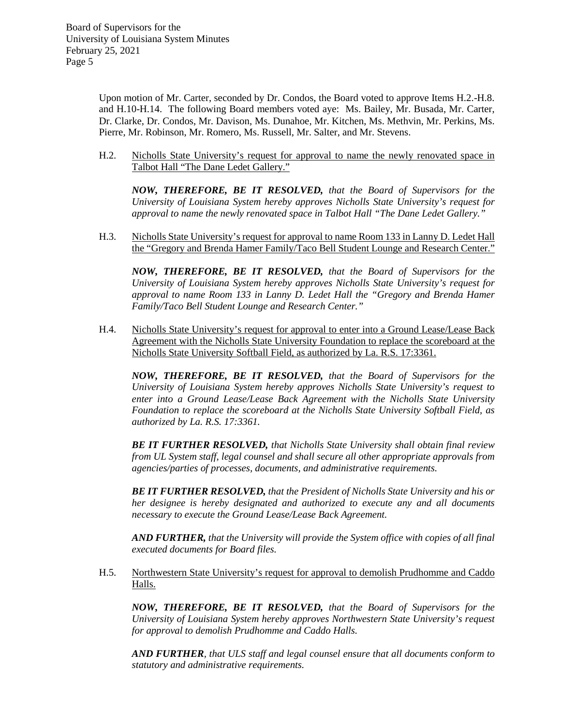Upon motion of Mr. Carter, seconded by Dr. Condos, the Board voted to approve Items H.2.-H.8. and H.10-H.14. The following Board members voted aye: Ms. Bailey, Mr. Busada, Mr. Carter, Dr. Clarke, Dr. Condos, Mr. Davison, Ms. Dunahoe, Mr. Kitchen, Ms. Methvin, Mr. Perkins, Ms. Pierre, Mr. Robinson, Mr. Romero, Ms. Russell, Mr. Salter, and Mr. Stevens.

H.2. Nicholls State University's request for approval to name the newly renovated space in Talbot Hall "The Dane Ledet Gallery."

*NOW, THEREFORE, BE IT RESOLVED, that the Board of Supervisors for the University of Louisiana System hereby approves Nicholls State University's request for approval to name the newly renovated space in Talbot Hall "The Dane Ledet Gallery."*

H.3. Nicholls State University's request for approval to name Room 133 in Lanny D. Ledet Hall the "Gregory and Brenda Hamer Family/Taco Bell Student Lounge and Research Center."

*NOW, THEREFORE, BE IT RESOLVED, that the Board of Supervisors for the University of Louisiana System hereby approves Nicholls State University's request for approval to name Room 133 in Lanny D. Ledet Hall the "Gregory and Brenda Hamer Family/Taco Bell Student Lounge and Research Center."*

H.4. Nicholls State University's request for approval to enter into a Ground Lease/Lease Back Agreement with the Nicholls State University Foundation to replace the scoreboard at the Nicholls State University Softball Field, as authorized by La. R.S. 17:3361.

*NOW, THEREFORE, BE IT RESOLVED, that the Board of Supervisors for the University of Louisiana System hereby approves Nicholls State University's request to enter into a Ground Lease/Lease Back Agreement with the Nicholls State University Foundation to replace the scoreboard at the Nicholls State University Softball Field, as authorized by La. R.S. 17:3361.*

*BE IT FURTHER RESOLVED, that Nicholls State University shall obtain final review from UL System staff, legal counsel and shall secure all other appropriate approvals from agencies/parties of processes, documents, and administrative requirements.*

*BE IT FURTHER RESOLVED, that the President of Nicholls State University and his or her designee is hereby designated and authorized to execute any and all documents necessary to execute the Ground Lease/Lease Back Agreement.*

*AND FURTHER, that the University will provide the System office with copies of all final executed documents for Board files.*

H.5. Northwestern State University's request for approval to demolish Prudhomme and Caddo Halls.

*NOW, THEREFORE, BE IT RESOLVED, that the Board of Supervisors for the University of Louisiana System hereby approves Northwestern State University's request for approval to demolish Prudhomme and Caddo Halls.*

*AND FURTHER, that ULS staff and legal counsel ensure that all documents conform to statutory and administrative requirements.*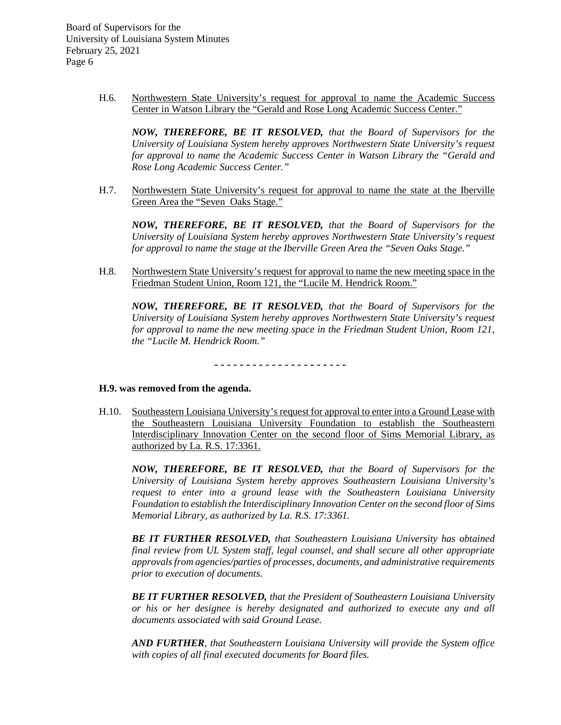> H.6. Northwestern State University's request for approval to name the Academic Success Center in Watson Library the "Gerald and Rose Long Academic Success Center."

*NOW, THEREFORE, BE IT RESOLVED, that the Board of Supervisors for the University of Louisiana System hereby approves Northwestern State University's request for approval to name the Academic Success Center in Watson Library the "Gerald and Rose Long Academic Success Center."*

H.7. Northwestern State University's request for approval to name the state at the Iberville Green Area the "Seven Oaks Stage."

*NOW, THEREFORE, BE IT RESOLVED, that the Board of Supervisors for the University of Louisiana System hereby approves Northwestern State University's request for approval to name the stage at the Iberville Green Area the "Seven Oaks Stage."*

H.8. Northwestern State University's request for approval to name the new meeting space in the Friedman Student Union, Room 121, the "Lucile M. Hendrick Room."

*NOW, THEREFORE, BE IT RESOLVED, that the Board of Supervisors for the University of Louisiana System hereby approves Northwestern State University's request for approval to name the new meeting space in the Friedman Student Union, Room 121, the "Lucile M. Hendrick Room."*

**- - - - - - - - - - - - - - - - - - - - -**

#### **H.9. was removed from the agenda.**

H.10. Southeastern Louisiana University's request for approval to enter into a Ground Lease with the Southeastern Louisiana University Foundation to establish the Southeastern Interdisciplinary Innovation Center on the second floor of Sims Memorial Library, as authorized by La. R.S. 17:3361.

*NOW, THEREFORE, BE IT RESOLVED, that the Board of Supervisors for the University of Louisiana System hereby approves Southeastern Louisiana University's request to enter into a ground lease with the Southeastern Louisiana University Foundation to establish the Interdisciplinary Innovation Center on the second floor of Sims Memorial Library, as authorized by La. R.S. 17:3361.*

*BE IT FURTHER RESOLVED, that Southeastern Louisiana University has obtained final review from UL System staff, legal counsel, and shall secure all other appropriate approvals from agencies/parties of processes, documents, and administrative requirements prior to execution of documents.* 

*BE IT FURTHER RESOLVED, that the President of Southeastern Louisiana University or his or her designee is hereby designated and authorized to execute any and all documents associated with said Ground Lease.*

*AND FURTHER, that Southeastern Louisiana University will provide the System office with copies of all final executed documents for Board files.*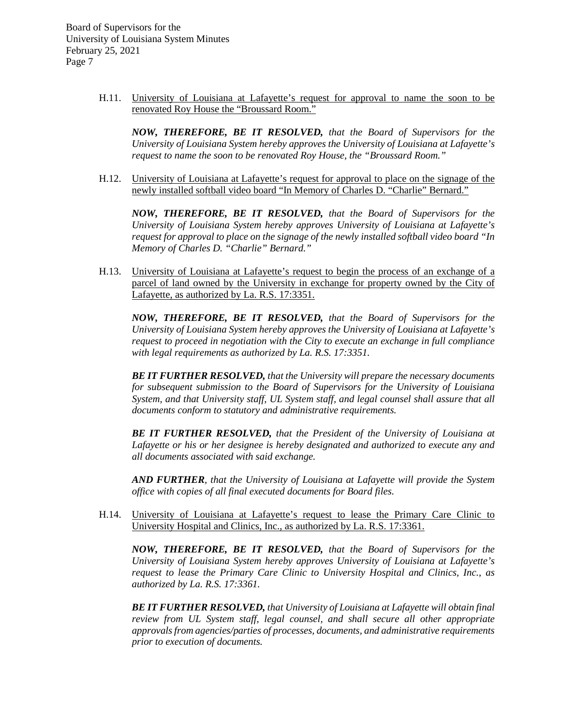> H.11. University of Louisiana at Lafayette's request for approval to name the soon to be renovated Roy House the "Broussard Room."

*NOW, THEREFORE, BE IT RESOLVED, that the Board of Supervisors for the University of Louisiana System hereby approves the University of Louisiana at Lafayette's request to name the soon to be renovated Roy House, the "Broussard Room."*

H.12. University of Louisiana at Lafayette's request for approval to place on the signage of the newly installed softball video board "In Memory of Charles D. "Charlie" Bernard."

*NOW, THEREFORE, BE IT RESOLVED, that the Board of Supervisors for the University of Louisiana System hereby approves University of Louisiana at Lafayette's request for approval to place on the signage of the newly installed softball video board "In Memory of Charles D. "Charlie" Bernard."*

H.13. University of Louisiana at Lafayette's request to begin the process of an exchange of a parcel of land owned by the University in exchange for property owned by the City of Lafayette, as authorized by La. R.S. 17:3351.

*NOW, THEREFORE, BE IT RESOLVED, that the Board of Supervisors for the University of Louisiana System hereby approves the University of Louisiana at Lafayette's request to proceed in negotiation with the City to execute an exchange in full compliance with legal requirements as authorized by La. R.S. 17:3351.*

*BE IT FURTHER RESOLVED, that the University will prepare the necessary documents for subsequent submission to the Board of Supervisors for the University of Louisiana System, and that University staff, UL System staff, and legal counsel shall assure that all documents conform to statutory and administrative requirements.*

*BE IT FURTHER RESOLVED, that the President of the University of Louisiana at Lafayette or his or her designee is hereby designated and authorized to execute any and all documents associated with said exchange.*

*AND FURTHER, that the University of Louisiana at Lafayette will provide the System office with copies of all final executed documents for Board files.*

H.14. University of Louisiana at Lafayette's request to lease the Primary Care Clinic to University Hospital and Clinics, Inc., as authorized by La. R.S. 17:3361.

*NOW, THEREFORE, BE IT RESOLVED, that the Board of Supervisors for the University of Louisiana System hereby approves University of Louisiana at Lafayette's request to lease the Primary Care Clinic to University Hospital and Clinics, Inc., as authorized by La. R.S. 17:3361.*

*BE IT FURTHER RESOLVED, that University of Louisiana at Lafayette will obtain final review from UL System staff, legal counsel, and shall secure all other appropriate approvals from agencies/parties of processes, documents, and administrative requirements prior to execution of documents.*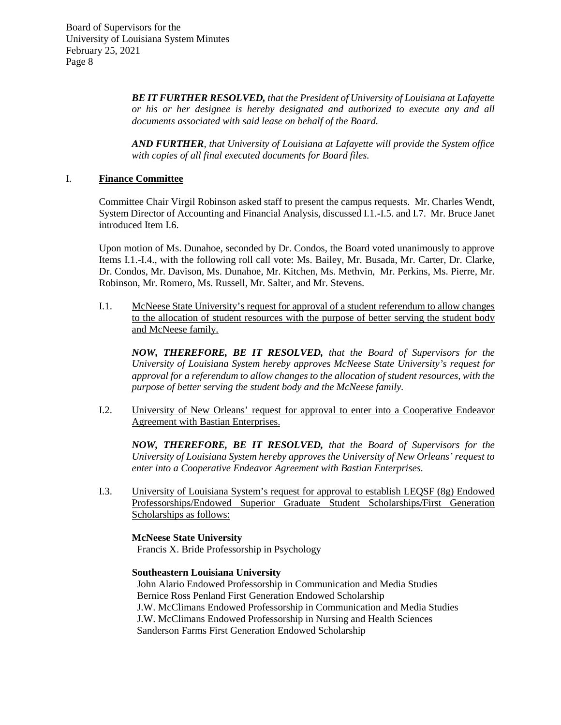> *BE IT FURTHER RESOLVED, that the President of University of Louisiana at Lafayette or his or her designee is hereby designated and authorized to execute any and all documents associated with said lease on behalf of the Board.*

> *AND FURTHER, that University of Louisiana at Lafayette will provide the System office with copies of all final executed documents for Board files.*

# I. **Finance Committee**

Committee Chair Virgil Robinson asked staff to present the campus requests. Mr. Charles Wendt, System Director of Accounting and Financial Analysis, discussed I.1.-I.5. and I.7. Mr. Bruce Janet introduced Item I.6.

Upon motion of Ms. Dunahoe, seconded by Dr. Condos, the Board voted unanimously to approve Items I.1.-I.4., with the following roll call vote: Ms. Bailey, Mr. Busada, Mr. Carter, Dr. Clarke, Dr. Condos, Mr. Davison, Ms. Dunahoe, Mr. Kitchen, Ms. Methvin, Mr. Perkins, Ms. Pierre, Mr. Robinson, Mr. Romero, Ms. Russell, Mr. Salter, and Mr. Stevens.

I.1. McNeese State University's request for approval of a student referendum to allow changes to the allocation of student resources with the purpose of better serving the student body and McNeese family.

*NOW, THEREFORE, BE IT RESOLVED, that the Board of Supervisors for the University of Louisiana System hereby approves McNeese State University's request for approval for a referendum to allow changes to the allocation of student resources, with the purpose of better serving the student body and the McNeese family.*

I.2. University of New Orleans' request for approval to enter into a Cooperative Endeavor Agreement with Bastian Enterprises.

*NOW, THEREFORE, BE IT RESOLVED, that the Board of Supervisors for the University of Louisiana System hereby approves the University of New Orleans' request to enter into a Cooperative Endeavor Agreement with Bastian Enterprises.*

I.3. University of Louisiana System's request for approval to establish LEQSF (8g) Endowed Professorships/Endowed Superior Graduate Student Scholarships/First Generation Scholarships as follows:

**McNeese State University** Francis X. Bride Professorship in Psychology

#### **Southeastern Louisiana University**

 John Alario Endowed Professorship in Communication and Media Studies Bernice Ross Penland First Generation Endowed Scholarship J.W. McClimans Endowed Professorship in Communication and Media Studies J.W. McClimans Endowed Professorship in Nursing and Health Sciences Sanderson Farms First Generation Endowed Scholarship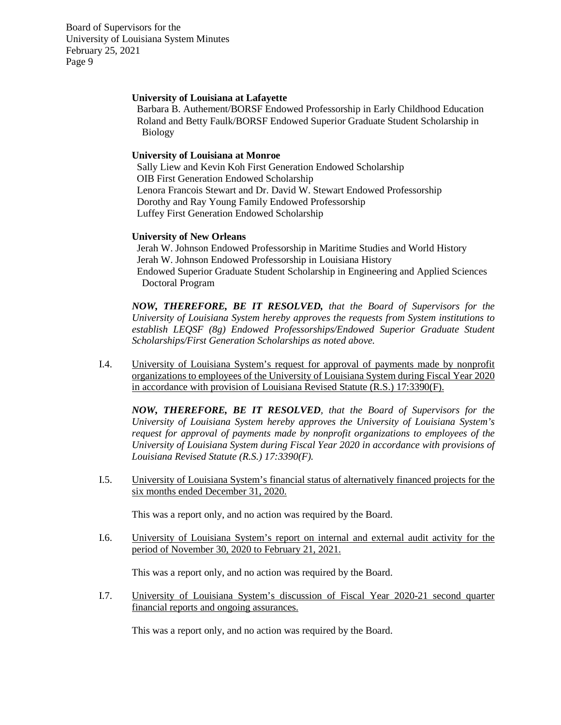### **University of Louisiana at Lafayette**

 Barbara B. Authement/BORSF Endowed Professorship in Early Childhood Education Roland and Betty Faulk/BORSF Endowed Superior Graduate Student Scholarship in Biology

### **University of Louisiana at Monroe**

 Sally Liew and Kevin Koh First Generation Endowed Scholarship OIB First Generation Endowed Scholarship Lenora Francois Stewart and Dr. David W. Stewart Endowed Professorship Dorothy and Ray Young Family Endowed Professorship Luffey First Generation Endowed Scholarship

### **University of New Orleans**

 Jerah W. Johnson Endowed Professorship in Maritime Studies and World History Jerah W. Johnson Endowed Professorship in Louisiana History Endowed Superior Graduate Student Scholarship in Engineering and Applied Sciences Doctoral Program

*NOW, THEREFORE, BE IT RESOLVED, that the Board of Supervisors for the University of Louisiana System hereby approves the requests from System institutions to establish LEQSF (8g) Endowed Professorships/Endowed Superior Graduate Student Scholarships/First Generation Scholarships as noted above.*

I.4. University of Louisiana System's request for approval of payments made by nonprofit organizations to employees of the University of Louisiana System during Fiscal Year 2020 in accordance with provision of Louisiana Revised Statute (R.S.) 17:3390(F).

*NOW, THEREFORE, BE IT RESOLVED, that the Board of Supervisors for the University of Louisiana System hereby approves the University of Louisiana System's request for approval of payments made by nonprofit organizations to employees of the University of Louisiana System during Fiscal Year 2020 in accordance with provisions of Louisiana Revised Statute (R.S.) 17:3390(F).*

I.5. University of Louisiana System's financial status of alternatively financed projects for the six months ended December 31, 2020.

This was a report only, and no action was required by the Board.

I.6. University of Louisiana System's report on internal and external audit activity for the period of November 30, 2020 to February 21, 2021.

This was a report only, and no action was required by the Board.

I.7. University of Louisiana System's discussion of Fiscal Year 2020-21 second quarter financial reports and ongoing assurances.

This was a report only, and no action was required by the Board.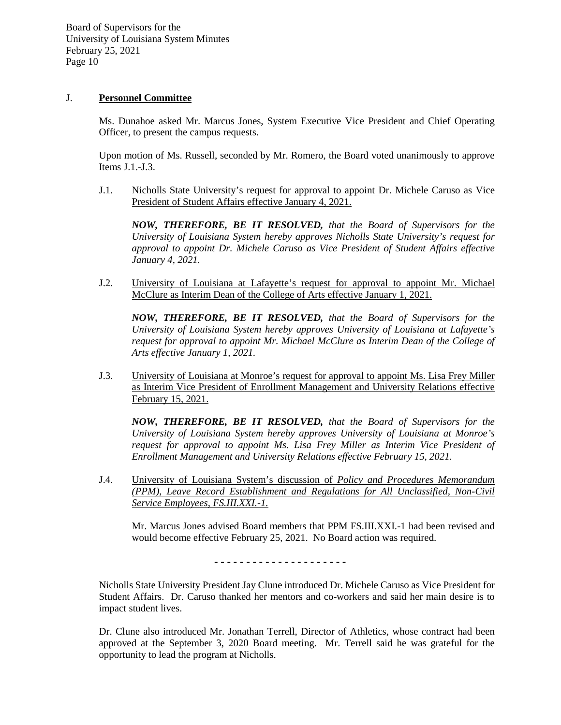### J. **Personnel Committee**

Ms. Dunahoe asked Mr. Marcus Jones, System Executive Vice President and Chief Operating Officer, to present the campus requests.

Upon motion of Ms. Russell, seconded by Mr. Romero, the Board voted unanimously to approve Items J.1.-J.3.

J.1. Nicholls State University's request for approval to appoint Dr. Michele Caruso as Vice President of Student Affairs effective January 4, 2021.

*NOW, THEREFORE, BE IT RESOLVED, that the Board of Supervisors for the University of Louisiana System hereby approves Nicholls State University's request for approval to appoint Dr. Michele Caruso as Vice President of Student Affairs effective January 4, 2021.*

J.2. University of Louisiana at Lafayette's request for approval to appoint Mr. Michael McClure as Interim Dean of the College of Arts effective January 1, 2021.

*NOW, THEREFORE, BE IT RESOLVED, that the Board of Supervisors for the University of Louisiana System hereby approves University of Louisiana at Lafayette's request for approval to appoint Mr. Michael McClure as Interim Dean of the College of Arts effective January 1, 2021.*

J.3. University of Louisiana at Monroe's request for approval to appoint Ms. Lisa Frey Miller as Interim Vice President of Enrollment Management and University Relations effective February 15, 2021.

*NOW, THEREFORE, BE IT RESOLVED, that the Board of Supervisors for the University of Louisiana System hereby approves University of Louisiana at Monroe's*  request for approval to appoint Ms. Lisa Frey Miller as Interim Vice President of *Enrollment Management and University Relations effective February 15, 2021.*

J.4. University of Louisiana System's discussion of *Policy and Procedures Memorandum (PPM), Leave Record Establishment and Regulations for All Unclassified, Non-Civil Service Employees, FS.III.XXI.-1.*

Mr. Marcus Jones advised Board members that PPM FS.III.XXI.-1 had been revised and would become effective February 25, 2021. No Board action was required.

**- - - - - - - - - - - - - - - - - - - - -**

Nicholls State University President Jay Clune introduced Dr. Michele Caruso as Vice President for Student Affairs. Dr. Caruso thanked her mentors and co-workers and said her main desire is to impact student lives.

Dr. Clune also introduced Mr. Jonathan Terrell, Director of Athletics, whose contract had been approved at the September 3, 2020 Board meeting. Mr. Terrell said he was grateful for the opportunity to lead the program at Nicholls.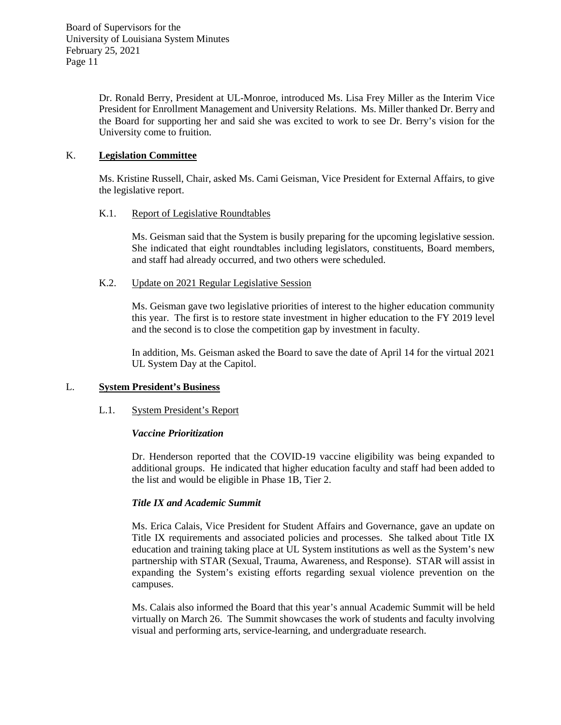Dr. Ronald Berry, President at UL-Monroe, introduced Ms. Lisa Frey Miller as the Interim Vice President for Enrollment Management and University Relations. Ms. Miller thanked Dr. Berry and the Board for supporting her and said she was excited to work to see Dr. Berry's vision for the University come to fruition.

# K. **Legislation Committee**

Ms. Kristine Russell, Chair, asked Ms. Cami Geisman, Vice President for External Affairs, to give the legislative report.

# K.1. Report of Legislative Roundtables

Ms. Geisman said that the System is busily preparing for the upcoming legislative session. She indicated that eight roundtables including legislators, constituents, Board members, and staff had already occurred, and two others were scheduled.

### K.2. Update on 2021 Regular Legislative Session

Ms. Geisman gave two legislative priorities of interest to the higher education community this year. The first is to restore state investment in higher education to the FY 2019 level and the second is to close the competition gap by investment in faculty.

In addition, Ms. Geisman asked the Board to save the date of April 14 for the virtual 2021 UL System Day at the Capitol.

# L. **System President's Business**

# L.1. System President's Report

# *Vaccine Prioritization*

Dr. Henderson reported that the COVID-19 vaccine eligibility was being expanded to additional groups. He indicated that higher education faculty and staff had been added to the list and would be eligible in Phase 1B, Tier 2.

# *Title IX and Academic Summit*

Ms. Erica Calais, Vice President for Student Affairs and Governance, gave an update on Title IX requirements and associated policies and processes. She talked about Title IX education and training taking place at UL System institutions as well as the System's new partnership with STAR (Sexual, Trauma, Awareness, and Response). STAR will assist in expanding the System's existing efforts regarding sexual violence prevention on the campuses.

Ms. Calais also informed the Board that this year's annual Academic Summit will be held virtually on March 26. The Summit showcases the work of students and faculty involving visual and performing arts, service-learning, and undergraduate research.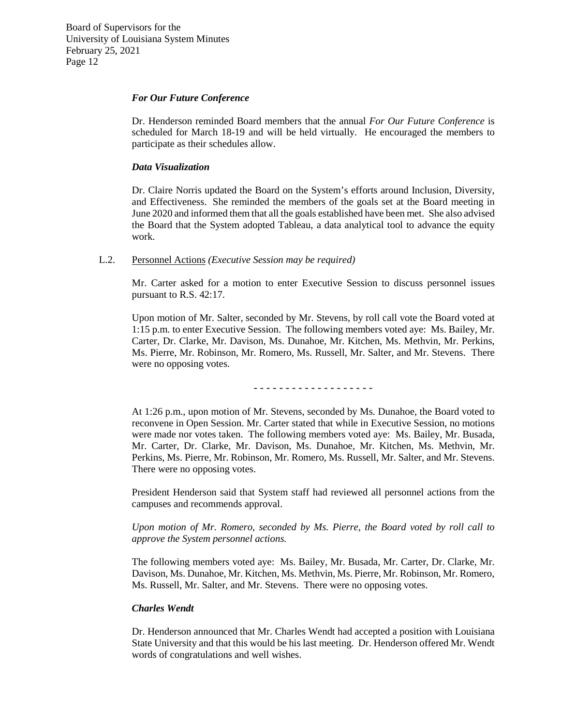#### *For Our Future Conference*

Dr. Henderson reminded Board members that the annual *For Our Future Conference* is scheduled for March 18-19 and will be held virtually. He encouraged the members to participate as their schedules allow.

### *Data Visualization*

Dr. Claire Norris updated the Board on the System's efforts around Inclusion, Diversity, and Effectiveness. She reminded the members of the goals set at the Board meeting in June 2020 and informed them that all the goals established have been met. She also advised the Board that the System adopted Tableau, a data analytical tool to advance the equity work.

# L.2. Personnel Actions *(Executive Session may be required)*

Mr. Carter asked for a motion to enter Executive Session to discuss personnel issues pursuant to R.S. 42:17.

Upon motion of Mr. Salter, seconded by Mr. Stevens, by roll call vote the Board voted at 1:15 p.m. to enter Executive Session. The following members voted aye: Ms. Bailey, Mr. Carter, Dr. Clarke, Mr. Davison, Ms. Dunahoe, Mr. Kitchen, Ms. Methvin, Mr. Perkins, Ms. Pierre, Mr. Robinson, Mr. Romero, Ms. Russell, Mr. Salter, and Mr. Stevens. There were no opposing votes.

- - - - - - - - - - - - - - - - - - -

At 1:26 p.m., upon motion of Mr. Stevens, seconded by Ms. Dunahoe, the Board voted to reconvene in Open Session. Mr. Carter stated that while in Executive Session, no motions were made nor votes taken. The following members voted aye: Ms. Bailey, Mr. Busada, Mr. Carter, Dr. Clarke, Mr. Davison, Ms. Dunahoe, Mr. Kitchen, Ms. Methvin, Mr. Perkins, Ms. Pierre, Mr. Robinson, Mr. Romero, Ms. Russell, Mr. Salter, and Mr. Stevens. There were no opposing votes.

President Henderson said that System staff had reviewed all personnel actions from the campuses and recommends approval.

*Upon motion of Mr. Romero, seconded by Ms. Pierre, the Board voted by roll call to approve the System personnel actions.*

The following members voted aye: Ms. Bailey, Mr. Busada, Mr. Carter, Dr. Clarke, Mr. Davison, Ms. Dunahoe, Mr. Kitchen, Ms. Methvin, Ms. Pierre, Mr. Robinson, Mr. Romero, Ms. Russell, Mr. Salter, and Mr. Stevens. There were no opposing votes.

#### *Charles Wendt*

Dr. Henderson announced that Mr. Charles Wendt had accepted a position with Louisiana State University and that this would be his last meeting. Dr. Henderson offered Mr. Wendt words of congratulations and well wishes.